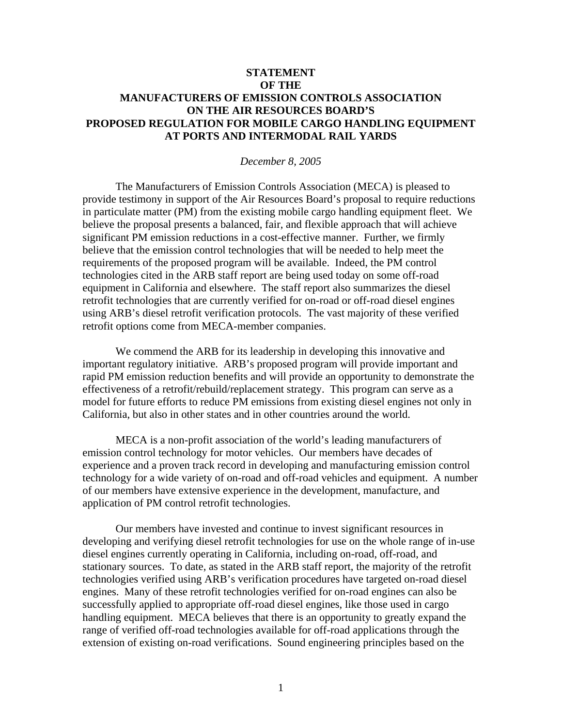## **STATEMENT OF THE MANUFACTURERS OF EMISSION CONTROLS ASSOCIATION ON THE AIR RESOURCES BOARD'S PROPOSED REGULATION FOR MOBILE CARGO HANDLING EQUIPMENT AT PORTS AND INTERMODAL RAIL YARDS**

## *December 8, 2005*

 The Manufacturers of Emission Controls Association (MECA) is pleased to provide testimony in support of the Air Resources Board's proposal to require reductions in particulate matter (PM) from the existing mobile cargo handling equipment fleet. We believe the proposal presents a balanced, fair, and flexible approach that will achieve significant PM emission reductions in a cost-effective manner. Further, we firmly believe that the emission control technologies that will be needed to help meet the requirements of the proposed program will be available. Indeed, the PM control technologies cited in the ARB staff report are being used today on some off-road equipment in California and elsewhere. The staff report also summarizes the diesel retrofit technologies that are currently verified for on-road or off-road diesel engines using ARB's diesel retrofit verification protocols. The vast majority of these verified retrofit options come from MECA-member companies.

We commend the ARB for its leadership in developing this innovative and important regulatory initiative. ARB's proposed program will provide important and rapid PM emission reduction benefits and will provide an opportunity to demonstrate the effectiveness of a retrofit/rebuild/replacement strategy. This program can serve as a model for future efforts to reduce PM emissions from existing diesel engines not only in California, but also in other states and in other countries around the world.

MECA is a non-profit association of the world's leading manufacturers of emission control technology for motor vehicles. Our members have decades of experience and a proven track record in developing and manufacturing emission control technology for a wide variety of on-road and off-road vehicles and equipment. A number of our members have extensive experience in the development, manufacture, and application of PM control retrofit technologies.

Our members have invested and continue to invest significant resources in developing and verifying diesel retrofit technologies for use on the whole range of in-use diesel engines currently operating in California, including on-road, off-road, and stationary sources. To date, as stated in the ARB staff report, the majority of the retrofit technologies verified using ARB's verification procedures have targeted on-road diesel engines. Many of these retrofit technologies verified for on-road engines can also be successfully applied to appropriate off-road diesel engines, like those used in cargo handling equipment. MECA believes that there is an opportunity to greatly expand the range of verified off-road technologies available for off-road applications through the extension of existing on-road verifications. Sound engineering principles based on the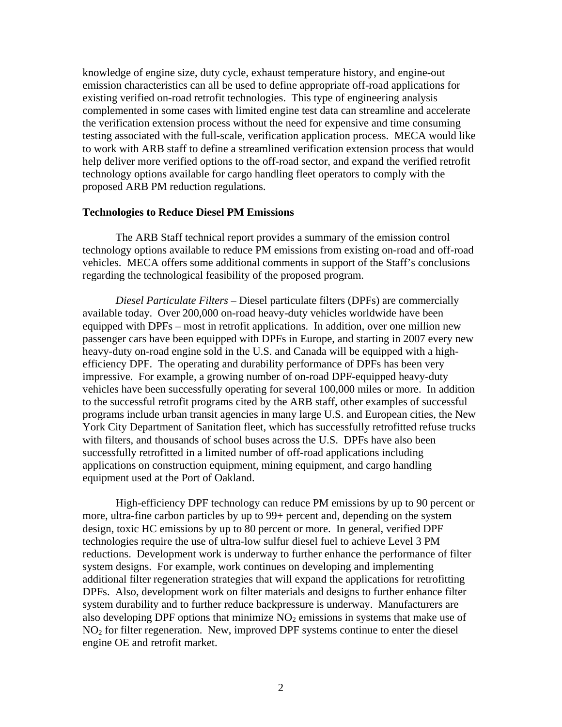knowledge of engine size, duty cycle, exhaust temperature history, and engine-out emission characteristics can all be used to define appropriate off-road applications for existing verified on-road retrofit technologies. This type of engineering analysis complemented in some cases with limited engine test data can streamline and accelerate the verification extension process without the need for expensive and time consuming testing associated with the full-scale, verification application process. MECA would like to work with ARB staff to define a streamlined verification extension process that would help deliver more verified options to the off-road sector, and expand the verified retrofit technology options available for cargo handling fleet operators to comply with the proposed ARB PM reduction regulations.

## **Technologies to Reduce Diesel PM Emissions**

The ARB Staff technical report provides a summary of the emission control technology options available to reduce PM emissions from existing on-road and off-road vehicles. MECA offers some additional comments in support of the Staff's conclusions regarding the technological feasibility of the proposed program.

*Diesel Particulate Filters –* Diesel particulate filters (DPFs) are commercially available today. Over 200,000 on-road heavy-duty vehicles worldwide have been equipped with DPFs – most in retrofit applications. In addition, over one million new passenger cars have been equipped with DPFs in Europe, and starting in 2007 every new heavy-duty on-road engine sold in the U.S. and Canada will be equipped with a highefficiency DPF. The operating and durability performance of DPFs has been very impressive. For example, a growing number of on-road DPF-equipped heavy-duty vehicles have been successfully operating for several 100,000 miles or more. In addition to the successful retrofit programs cited by the ARB staff, other examples of successful programs include urban transit agencies in many large U.S. and European cities, the New York City Department of Sanitation fleet, which has successfully retrofitted refuse trucks with filters, and thousands of school buses across the U.S. DPFs have also been successfully retrofitted in a limited number of off-road applications including applications on construction equipment, mining equipment, and cargo handling equipment used at the Port of Oakland.

High-efficiency DPF technology can reduce PM emissions by up to 90 percent or more, ultra-fine carbon particles by up to 99+ percent and, depending on the system design, toxic HC emissions by up to 80 percent or more. In general, verified DPF technologies require the use of ultra-low sulfur diesel fuel to achieve Level 3 PM reductions. Development work is underway to further enhance the performance of filter system designs. For example, work continues on developing and implementing additional filter regeneration strategies that will expand the applications for retrofitting DPFs. Also, development work on filter materials and designs to further enhance filter system durability and to further reduce backpressure is underway. Manufacturers are also developing DPF options that minimize  $NO<sub>2</sub>$  emissions in systems that make use of  $NO<sub>2</sub>$  for filter regeneration. New, improved DPF systems continue to enter the diesel engine OE and retrofit market.